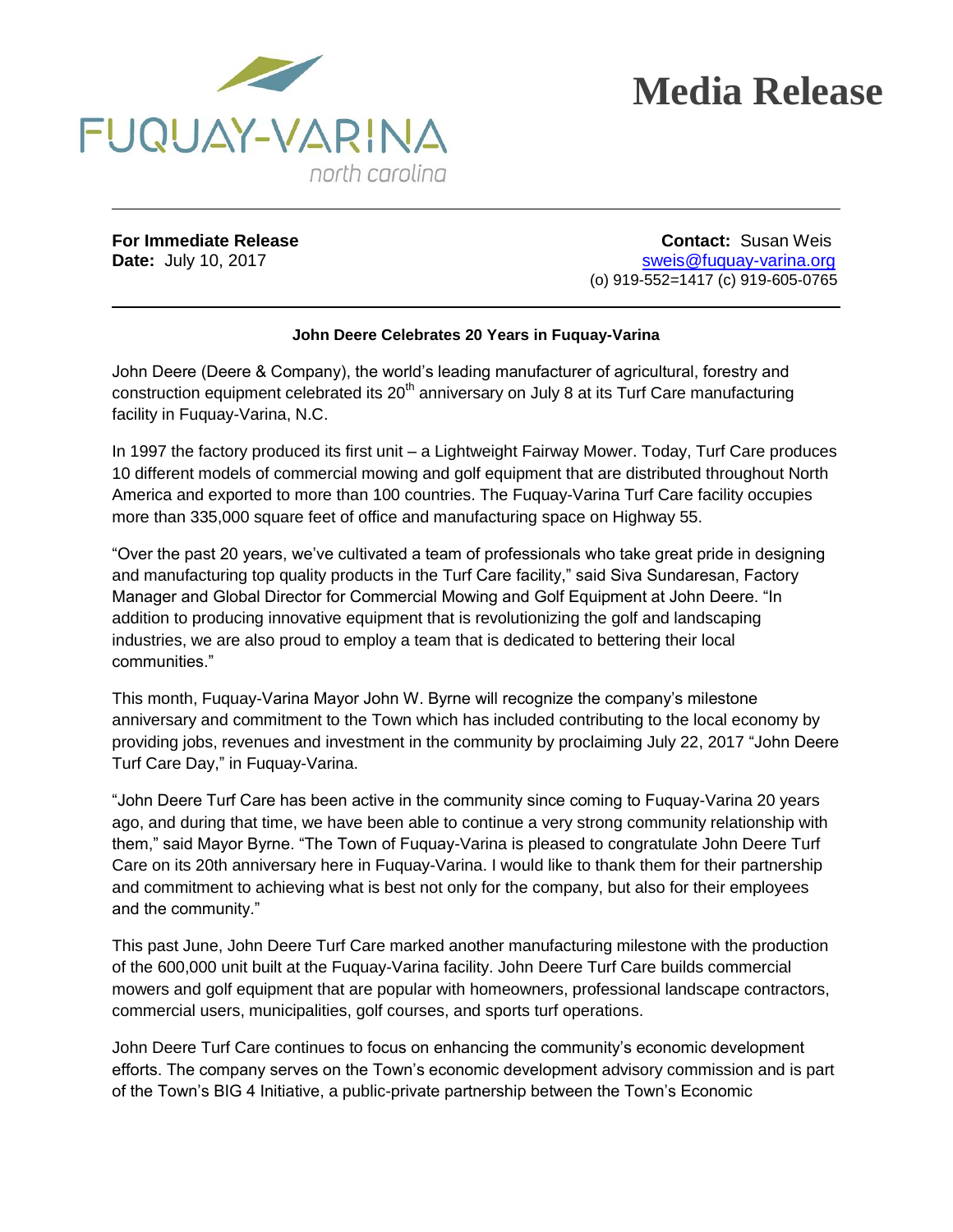

**For Immediate Release Contact:** Susan Weis **Date:** July 10, 2017 **State:**  $\overline{O}$  **Date:**  $\overline{O}$  sweis@fuquay-varina.org (o) 919-552=1417 (c) 919-605-0765

## **John Deere Celebrates 20 Years in Fuquay-Varina**

John Deere (Deere & Company), the world's leading manufacturer of agricultural, forestry and construction equipment celebrated its  $20<sup>th</sup>$  anniversary on July 8 at its Turf Care manufacturing facility in Fuquay-Varina, N.C.

In 1997 the factory produced its first unit – a Lightweight Fairway Mower. Today, Turf Care produces 10 different models of commercial mowing and golf equipment that are distributed throughout North America and exported to more than 100 countries. The Fuquay-Varina Turf Care facility occupies more than 335,000 square feet of office and manufacturing space on Highway 55.

"Over the past 20 years, we've cultivated a team of professionals who take great pride in designing and manufacturing top quality products in the Turf Care facility," said Siva Sundaresan, Factory Manager and Global Director for Commercial Mowing and Golf Equipment at John Deere. "In addition to producing innovative equipment that is revolutionizing the golf and landscaping industries, we are also proud to employ a team that is dedicated to bettering their local communities."

This month, Fuquay-Varina Mayor John W. Byrne will recognize the company's milestone anniversary and commitment to the Town which has included contributing to the local economy by providing jobs, revenues and investment in the community by proclaiming July 22, 2017 "John Deere Turf Care Day," in Fuquay-Varina.

"John Deere Turf Care has been active in the community since coming to Fuquay-Varina 20 years ago, and during that time, we have been able to continue a very strong community relationship with them," said Mayor Byrne. "The Town of Fuquay-Varina is pleased to congratulate John Deere Turf Care on its 20th anniversary here in Fuquay-Varina. I would like to thank them for their partnership and commitment to achieving what is best not only for the company, but also for their employees and the community."

This past June, John Deere Turf Care marked another manufacturing milestone with the production of the 600,000 unit built at the Fuquay-Varina facility. John Deere Turf Care builds commercial mowers and golf equipment that are popular with homeowners, professional landscape contractors, commercial users, municipalities, golf courses, and sports turf operations.

John Deere Turf Care continues to focus on enhancing the community's economic development efforts. The company serves on the Town's economic development advisory commission and is part of the Town's BIG 4 Initiative, a public-private partnership between the Town's Economic